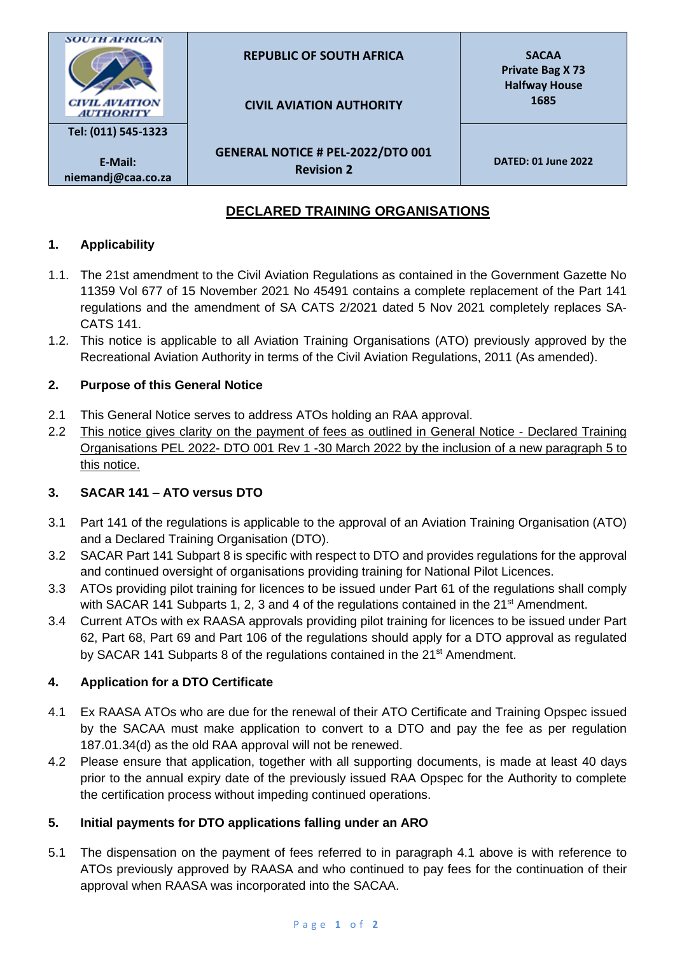

# **DECLARED TRAINING ORGANISATIONS**

## **1. Applicability**

- 1.1. The 21st amendment to the Civil Aviation Regulations as contained in the Government Gazette No 11359 Vol 677 of 15 November 2021 No 45491 contains a complete replacement of the Part 141 regulations and the amendment of SA CATS 2/2021 dated 5 Nov 2021 completely replaces SA-CATS 141.
- 1.2. This notice is applicable to all Aviation Training Organisations (ATO) previously approved by the Recreational Aviation Authority in terms of the Civil Aviation Regulations, 2011 (As amended).

#### **2. Purpose of this General Notice**

- 2.1 This General Notice serves to address ATOs holding an RAA approval.
- 2.2 This notice gives clarity on the payment of fees as outlined in General Notice Declared Training Organisations PEL 2022- DTO 001 Rev 1 -30 March 2022 by the inclusion of a new paragraph 5 to this notice.

## **3. SACAR 141 – ATO versus DTO**

- 3.1 Part 141 of the regulations is applicable to the approval of an Aviation Training Organisation (ATO) and a Declared Training Organisation (DTO).
- 3.2 SACAR Part 141 Subpart 8 is specific with respect to DTO and provides regulations for the approval and continued oversight of organisations providing training for National Pilot Licences.
- 3.3 ATOs providing pilot training for licences to be issued under Part 61 of the regulations shall comply with SACAR 141 Subparts 1, 2, 3 and 4 of the regulations contained in the 21<sup>st</sup> Amendment.
- 3.4 Current ATOs with ex RAASA approvals providing pilot training for licences to be issued under Part 62, Part 68, Part 69 and Part 106 of the regulations should apply for a DTO approval as regulated by SACAR 141 Subparts 8 of the regulations contained in the 21<sup>st</sup> Amendment.

## **4. Application for a DTO Certificate**

- 4.1 Ex RAASA ATOs who are due for the renewal of their ATO Certificate and Training Opspec issued by the SACAA must make application to convert to a DTO and pay the fee as per regulation 187.01.34(d) as the old RAA approval will not be renewed.
- 4.2 Please ensure that application, together with all supporting documents, is made at least 40 days prior to the annual expiry date of the previously issued RAA Opspec for the Authority to complete the certification process without impeding continued operations.

#### **5. Initial payments for DTO applications falling under an ARO**

5.1 The dispensation on the payment of fees referred to in paragraph 4.1 above is with reference to ATOs previously approved by RAASA and who continued to pay fees for the continuation of their approval when RAASA was incorporated into the SACAA.